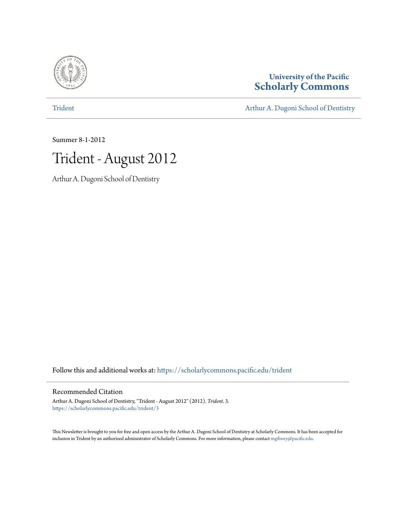

**University of the Pacific [Scholarly Commons](https://scholarlycommons.pacific.edu?utm_source=scholarlycommons.pacific.edu%2Ftrident%2F3&utm_medium=PDF&utm_campaign=PDFCoverPages)**

### [Trident](https://scholarlycommons.pacific.edu/trident?utm_source=scholarlycommons.pacific.edu%2Ftrident%2F3&utm_medium=PDF&utm_campaign=PDFCoverPages) **[Arthur A. Dugoni School of Dentistry](https://scholarlycommons.pacific.edu/dugoni?utm_source=scholarlycommons.pacific.edu%2Ftrident%2F3&utm_medium=PDF&utm_campaign=PDFCoverPages)**

Summer 8-1-2012



Arthur A. Dugoni School of Dentistry

Follow this and additional works at: [https://scholarlycommons.pacific.edu/trident](https://scholarlycommons.pacific.edu/trident?utm_source=scholarlycommons.pacific.edu%2Ftrident%2F3&utm_medium=PDF&utm_campaign=PDFCoverPages)

### Recommended Citation

Arthur A. Dugoni School of Dentistry, "Trident - August 2012" (2012). *Trident*. 3. [https://scholarlycommons.pacific.edu/trident/3](https://scholarlycommons.pacific.edu/trident/3?utm_source=scholarlycommons.pacific.edu%2Ftrident%2F3&utm_medium=PDF&utm_campaign=PDFCoverPages)

This Newsletter is brought to you for free and open access by the Arthur A. Dugoni School of Dentistry at Scholarly Commons. It has been accepted for inclusion in Trident by an authorized administrator of Scholarly Commons. For more information, please contact [mgibney@pacific.edu.](mailto:mgibney@pacific.edu)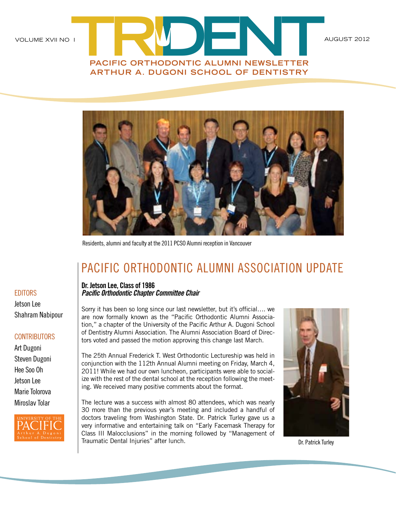



Residents, alumni and faculty at the 2011 PCSO Alumni reception in Vancouver

## PACIFIC ORTHODONTIC ALUMNI ASSOCIATION UPDATE

**Dr. Jetson Lee, Class of 1986** *Pacific Orthodontic Chapter Committee Chair*

Sorry it has been so long since our last newsletter, but it's official…. we are now formally known as the "Pacific Orthodontic Alumni Association," a chapter of the University of the Pacific Arthur A. Dugoni School of Dentistry Alumni Association. The Alumni Association Board of Directors voted and passed the motion approving this change last March.

The 25th Annual Frederick T. West Orthodontic Lectureship was held in conjunction with the 112th Annual Alumni meeting on Friday, March 4, 2011! While we had our own luncheon, participants were able to socialize with the rest of the dental school at the reception following the meeting. We received many positive comments about the format.

The lecture was a success with almost 80 attendees, which was nearly 30 more than the previous year's meeting and included a handful of doctors traveling from Washington State. Dr. Patrick Turley gave us a very informative and entertaining talk on "Early Facemask Therapy for Class III Malocclusions" in the morning followed by "Management of Traumatic Dental Injuries" after lunch. Dr. Patrick Turley Dr. Patrick Turley



### **EDITORS**

Jetson Lee Shahram Nabipour

### **CONTRIBUTORS**

Art Dugoni Steven Dugoni Hee Soo Oh Jetson Lee Marie Tolorova Miroslav Tolar

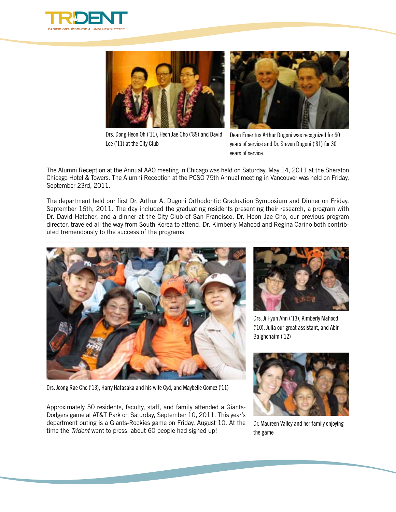





Drs. Dong Heon Oh ('11), Heon Jae Cho ('89) and David Lee ('11) at the City Club

Dean Emeritus Arthur Dugoni was recognized for 60 years of service and Dr. Steven Dugoni ('81) for 30 years of service.

The Alumni Reception at the Annual AAO meeting in Chicago was held on Saturday, May 14, 2011 at the Sheraton Chicago Hotel & Towers. The Alumni Reception at the PCSO 75th Annual meeting in Vancouver was held on Friday, September 23rd, 2011.

The department held our first Dr. Arthur A. Dugoni Orthodontic Graduation Symposium and Dinner on Friday, September 16th, 2011. The day included the graduating residents presenting their research, a program with Dr. David Hatcher, and a dinner at the City Club of San Francisco. Dr. Heon Jae Cho, our previous program director, traveled all the way from South Korea to attend. Dr. Kimberly Mahood and Regina Carino both contributed tremendously to the success of the programs.

![](_page_2_Picture_7.jpeg)

Drs. Jeong Rae Cho ('13), Harry Hatasaka and his wife Cyd, and Maybelle Gomez ('11)

Approximately 50 residents, faculty, staff, and family attended a Giants-Dodgers game at AT&T Park on Saturday, September 10, 2011. This year's department outing is a Giants-Rockies game on Friday, August 10. At the time the *Trident* went to press, about 60 people had signed up!

![](_page_2_Picture_10.jpeg)

Drs. Ji Hyun Ahn ('13), Kimberly Mahood ('10), Julia our great assistant, and Abir Balghonaim ('12)

![](_page_2_Picture_12.jpeg)

Dr. Maureen Valley and her family enjoying the game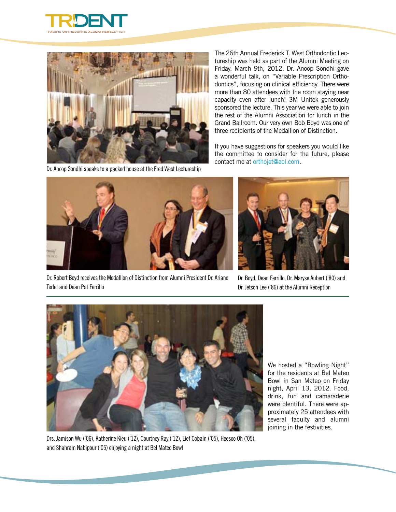![](_page_3_Picture_0.jpeg)

![](_page_3_Picture_1.jpeg)

Dr. Anoop Sondhi speaks to a packed house at the Fred West Lectureship

The 26th Annual Frederick T. West Orthodontic Lectureship was held as part of the Alumni Meeting on Friday, March 9th, 2012. Dr. Anoop Sondhi gave a wonderful talk, on "Variable Prescription Orthodontics", focusing on clinical efficiency. There were more than 80 attendees with the room staying near capacity even after lunch! 3M Unitek generously sponsored the lecture. This year we were able to join the rest of the Alumni Association for lunch in the Grand Ballroom. Our very own Bob Boyd was one of three recipients of the Medallion of Distinction.

If you have suggestions for speakers you would like the committee to consider for the future, please contact me at [orthojet@aol.com.](mailto:orthojet@aol.com)

![](_page_3_Picture_5.jpeg)

Dr. Robert Boyd receives the Medallion of Distinction from Alumni President Dr. Ariane Terlet and Dean Pat Ferrillo

![](_page_3_Picture_7.jpeg)

Dr. Boyd, Dean Ferrillo, Dr. Maryse Aubert ('80) and Dr. Jetson Lee ('86) at the Alumni Reception

![](_page_3_Picture_9.jpeg)

We hosted a "Bowling Night" for the residents at Bel Mateo Bowl in San Mateo on Friday night, April 13, 2012. Food, drink, fun and camaraderie were plentiful. There were approximately 25 attendees with several faculty and alumni joining in the festivities.

Drs. Jamison Wu ('06), Katherine Kieu ('12), Courtney Ray ('12), Lief Cobain ('05), Heesoo Oh ('05), and Shahram Nabipour ('05) enjoying a night at Bel Mateo Bowl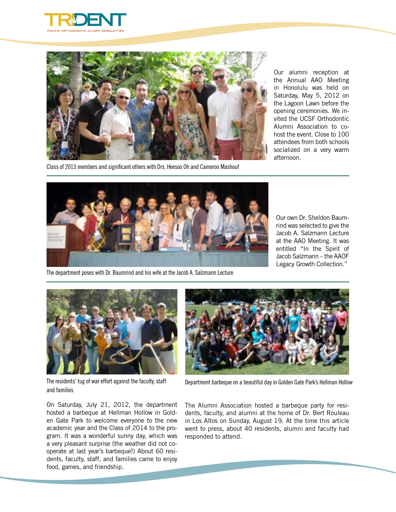![](_page_4_Picture_0.jpeg)

![](_page_4_Picture_1.jpeg)

Class of 2013 members and significant others with Drs. Heesoo Oh and Cameron Mashouf

Our alumni reception at the Annual AAO Meeting in Honolulu was held on Saturday, May 5, 2012 on the Lagoon Lawn before the opening ceremonies. We invited the UCSF Orthodontic Alumni Association to cohost the event. Close to 100 attendees from both schools socialized on a very warm afternoon.

![](_page_4_Picture_4.jpeg)

Our own Dr. Sheldon Baumrind was selected to give the Jacob A. Salzmann Lecture at the AAO Meeting. It was entitled "In the Spirit of Jacob Salzmann – the AAOF Legacy Growth Collection."

The department poses with Dr. Baumrind and his wife at the Jacob A. Salzmann Lecture

![](_page_4_Picture_7.jpeg)

The residents' tug of war effort against the faculty, staff and families

On Saturday, July 21, 2012, the department hosted a barbeque at Hellman Hollow in Golden Gate Park to welcome everyone to the new academic year and the Class of 2014 to the program. It was a wonderful sunny day, which was a very pleasant surprise (the weather did not cooperate at last year's barbeque!) About 60 residents, faculty, staff, and families came to enjoy food, games, and friendship.

![](_page_4_Picture_10.jpeg)

Department barbeque on a beautiful day in Golden Gate Park's Hellman Hollow

The Alumni Association hosted a barbeque party for residents, faculty, and alumni at the home of Dr. Bert Rouleau in Los Altos on Sunday, August 19. At the time this article went to press, about 40 residents, alumni and faculty had responded to attend.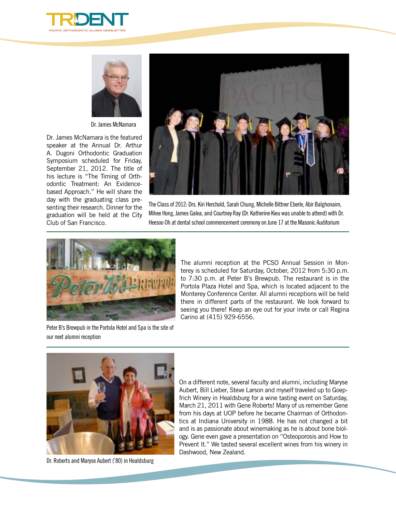![](_page_5_Picture_0.jpeg)

![](_page_5_Picture_1.jpeg)

Dr. James McNamara

Dr. James McNamara is the featured speaker at the Annual Dr. Arthur A. Dugoni Orthodontic Graduation Symposium scheduled for Friday, September 21, 2012. The title of his lecture is "The Timing of Orthodontic Treatment: An Evidencebased Approach." He will share the day with the graduating class presenting their research. Dinner for the graduation will be held at the City Club of San Francisco.

![](_page_5_Picture_4.jpeg)

The Class of 2012: Drs. Kiri Herchold, Sarah Chung, Michelle Bittner Eberle, Abir Balghonaim, Mihee Hong, James Galea, and Courtney Ray (Dr. Katherine Kieu was unable to attend) with Dr. Heesoo Oh at dental school commencement ceremony on June 17 at the Masonic Auditorium

![](_page_5_Picture_6.jpeg)

Peter B's Brewpub in the Portola Hotel and Spa is the site of our next alumni reception

The alumni reception at the PCSO Annual Session in Monterey is scheduled for Saturday, October, 2012 from 5:30 p.m. to 7:30 p.m. at Peter B's Brewpub. The restaurant is in the Portola Plaza Hotel and Spa, which is located adjacent to the Monterey Conference Center. All alumni receptions will be held there in different parts of the restaurant. We look forward to seeing you there! Keep an eye out for your invte or call Regina Carino at (415) 929-6556.

![](_page_5_Picture_9.jpeg)

Dr. Roberts and Maryse Aubert ('80) in Healdsburg

On a different note, several faculty and alumni, including Maryse Aubert, Bill Lieber, Steve Larson and myself traveled up to Goepfrich Winery in Healdsburg for a wine tasting event on Saturday, March 21, 2011 with Gene Roberts! Many of us remember Gene from his days at UOP before he became Chairman of Orthodontics at Indiana University in 1988. He has not changed a bit and is as passionate about winemaking as he is about bone biology. Gene even gave a presentation on "Osteoporosis and How to Prevent It." We tasted several excellent wines from his winery in Dashwood, New Zealand.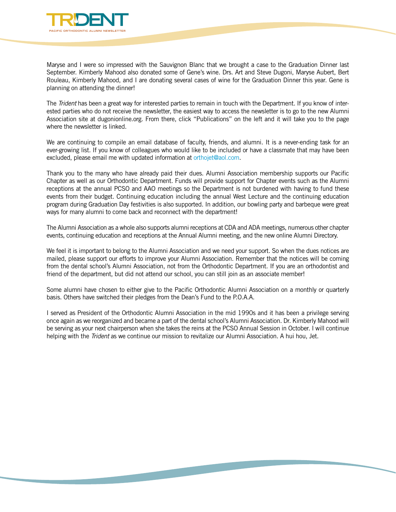![](_page_6_Picture_0.jpeg)

Maryse and I were so impressed with the Sauvignon Blanc that we brought a case to the Graduation Dinner last September. Kimberly Mahood also donated some of Gene's wine. Drs. Art and Steve Dugoni, Maryse Aubert, Bert Rouleau, Kimberly Mahood, and I are donating several cases of wine for the Graduation Dinner this year. Gene is planning on attending the dinner!

The *Trident* has been a great way for interested parties to remain in touch with the Department. If you know of interested parties who do not receive the newsletter, the easiest way to access the newsletter is to go to the new Alumni Association site at dugonionline.org. From there, click "Publications" on the left and it will take you to the page where the newsletter is linked.

We are continuing to compile an email database of faculty, friends, and alumni. It is a never-ending task for an ever-growing list. If you know of colleagues who would like to be included or have a classmate that may have been excluded, please email me with updated information at [orthojet@aol.com](mailto:orthojet@aol.com).

Thank you to the many who have already paid their dues. Alumni Association membership supports our Pacific Chapter as well as our Orthodontic Department. Funds will provide support for Chapter events such as the Alumni receptions at the annual PCSO and AAO meetings so the Department is not burdened with having to fund these events from their budget. Continuing education including the annual West Lecture and the continuing education program during Graduation Day festivities is also supported. In addition, our bowling party and barbeque were great ways for many alumni to come back and reconnect with the department!

The Alumni Association as a whole also supports alumni receptions at CDA and ADA meetings, numerous other chapter events, continuing education and receptions at the Annual Alumni meeting, and the new online Alumni Directory.

We feel it is important to belong to the Alumni Association and we need your support. So when the dues notices are mailed, please support our efforts to improve your Alumni Association. Remember that the notices will be coming from the dental school's Alumni Association, not from the Orthodontic Department. If you are an orthodontist and friend of the department, but did not attend our school, you can still join as an associate member!

Some alumni have chosen to either give to the Pacific Orthodontic Alumni Association on a monthly or quarterly basis. Others have switched their pledges from the Dean's Fund to the P.O.A.A.

I served as President of the Orthodontic Alumni Association in the mid 1990s and it has been a privilege serving once again as we reorganized and became a part of the dental school's Alumni Association. Dr. Kimberly Mahood will be serving as your next chairperson when she takes the reins at the PCSO Annual Session in October. I will continue helping with the *Trident* as we continue our mission to revitalize our Alumni Association. A hui hou, Jet.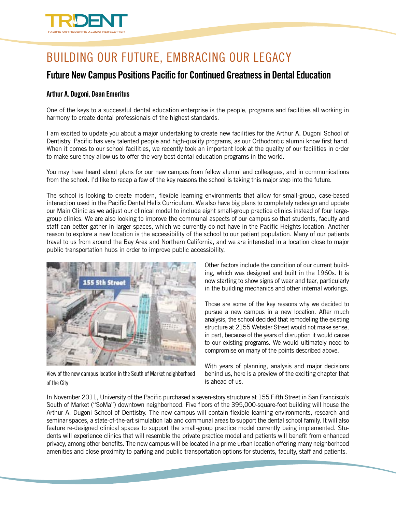![](_page_7_Picture_0.jpeg)

# Building Our Future, Embracing Our Legacy

### **Future New Campus Positions Pacific for Continued Greatness in Dental Education**

### **Arthur A. Dugoni, Dean Emeritus**

One of the keys to a successful dental education enterprise is the people, programs and facilities all working in harmony to create dental professionals of the highest standards.

I am excited to update you about a major undertaking to create new facilities for the Arthur A. Dugoni School of Dentistry. Pacific has very talented people and high-quality programs, as our Orthodontic alumni know first hand. When it comes to our school facilities, we recently took an important look at the quality of our facilities in order to make sure they allow us to offer the very best dental education programs in the world.

You may have heard about plans for our new campus from fellow alumni and colleagues, and in communications from the school. I'd like to recap a few of the key reasons the school is taking this major step into the future.

The school is looking to create modern, flexible learning environments that allow for small-group, case-based interaction used in the Pacific Dental Helix Curriculum. We also have big plans to completely redesign and update our Main Clinic as we adjust our clinical model to include eight small-group practice clinics instead of four largegroup clinics. We are also looking to improve the communal aspects of our campus so that students, faculty and staff can better gather in larger spaces, which we currently do not have in the Pacific Heights location. Another reason to explore a new location is the accessibility of the school to our patient population. Many of our patients travel to us from around the Bay Area and Northern California, and we are interested in a location close to major public transportation hubs in order to improve public accessibility.

![](_page_7_Picture_8.jpeg)

View of the new campus location in the South of Market neighborhood of the City

Other factors include the condition of our current building, which was designed and built in the 1960s. It is now starting to show signs of wear and tear, particularly in the building mechanics and other internal workings.

Those are some of the key reasons why we decided to pursue a new campus in a new location. After much analysis, the school decided that remodeling the existing structure at 2155 Webster Street would not make sense, in part, because of the years of disruption it would cause to our existing programs. We would ultimately need to compromise on many of the points described above.

With years of planning, analysis and major decisions behind us, here is a preview of the exciting chapter that is ahead of us.

In November 2011, University of the Pacific purchased a seven-story structure at 155 Fifth Street in San Francisco's South of Market ("SoMa") downtown neighborhood. Five floors of the 395,000-square-foot building will house the Arthur A. Dugoni School of Dentistry. The new campus will contain flexible learning environments, research and seminar spaces, a state-of-the-art simulation lab and communal areas to support the dental school family. It will also feature re-designed clinical spaces to support the small-group practice model currently being implemented. Students will experience clinics that will resemble the private practice model and patients will benefit from enhanced privacy, among other benefits. The new campus will be located in a prime urban location offering many neighborhood amenities and close proximity to parking and public transportation options for students, faculty, staff and patients.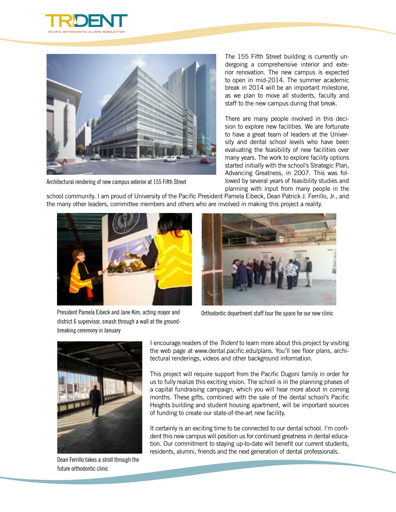![](_page_8_Picture_0.jpeg)

![](_page_8_Picture_1.jpeg)

Architectural rendering of new campus exterior at 155 Fifth Street

The 155 Fifth Street building is currently undergoing a comprehensive interior and exterior renovation. The new campus is expected to open in mid-2014. The summer academic break in 2014 will be an important milestone, as we plan to move all students, faculty and staff to the new campus during that break.

There are many people involved in this decision to explore new facilities. We are fortunate to have a great team of leaders at the University and dental school levels who have been evaluating the feasibility of new facilities over many years. The work to explore facility options started initially with the school's Strategic Plan, Advancing Greatness, in 2007. This was followed by several years of feasibility studies and planning with input from many people in the

school community. I am proud of University of the Pacific President Pamela Eibeck, Dean Patrick J. Ferrillo, Jr., and the many other leaders, committee members and others who are involved in making this project a reality.

![](_page_8_Picture_6.jpeg)

district 6 supervisor, smash through a wall at the ground-

![](_page_8_Picture_7.jpeg)

Orthodontic department staff tour the space for our new clinic

![](_page_8_Picture_9.jpeg)

breaking ceremony in January

Dean Ferrillo takes a stroll through the future orthodontic clinic

I encourage readers of the *Trident* to learn more about this project by visiting the web page at www.dental.pacific.edu/plans. You'll see floor plans, architectural renderings, videos and other background information.

This project will require support from the Pacific Dugoni family in order for us to fully realize this exciting vision. The school is in the planning phases of a capital fundraising campaign, which you will hear more about in coming months. These gifts, combined with the sale of the dental school's Pacific Heights building and student housing apartment, will be important sources of funding to create our state-of-the-art new facility.

It certainly is an exciting time to be connected to our dental school. I'm confident this new campus will position us for continued greatness in dental education. Our commitment to staying up-to-date will benefit our current students, residents, alumni, friends and the next generation of dental professionals.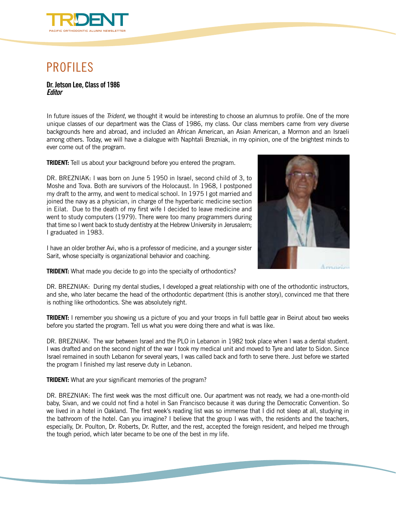![](_page_9_Picture_0.jpeg)

## PROFILES

#### **Dr. Jetson Lee, Class of 1986** *Editor*

In future issues of the *Trident*, we thought it would be interesting to choose an alumnus to profile. One of the more unique classes of our department was the Class of 1986, my class. Our class members came from very diverse backgrounds here and abroad, and included an African American, an Asian American, a Mormon and an Israeli among others. Today, we will have a dialogue with Naphtali Brezniak, in my opinion, one of the brightest minds to ever come out of the program.

**TRIDENT:** Tell us about your background before you entered the program.

DR. BREZNIAK: I was born on June 5 1950 in Israel, second child of 3, to Moshe and Tova. Both are survivors of the Holocaust. In 1968, I postponed my draft to the army, and went to medical school. In 1975 I got married and joined the navy as a physician, in charge of the hyperbaric medicine section in Eilat. Due to the death of my first wife I decided to leave medicine and went to study computers (1979). There were too many programmers during that time so I went back to study dentistry at the Hebrew University in Jerusalem; I graduated in 1983.

I have an older brother Avi, who is a professor of medicine, and a younger sister Sarit, whose specialty is organizational behavior and coaching.

![](_page_9_Picture_7.jpeg)

**TRIDENT:** What made you decide to go into the specialty of orthodontics?

DR. BREZNIAK: During my dental studies, I developed a great relationship with one of the orthodontic instructors, and she, who later became the head of the orthodontic department (this is another story), convinced me that there is nothing like orthodontics. She was absolutely right.

**TRIDENT:** I remember you showing us a picture of you and your troops in full battle gear in Beirut about two weeks before you started the program. Tell us what you were doing there and what is was like.

DR. BREZNIAK: The war between Israel and the PLO in Lebanon in 1982 took place when I was a dental student. I was drafted and on the second night of the war I took my medical unit and moved to Tyre and later to Sidon. Since Israel remained in south Lebanon for several years, I was called back and forth to serve there. Just before we started the program I finished my last reserve duty in Lebanon.

**TRIDENT:** What are your significant memories of the program?

DR. BREZNIAK: The first week was the most difficult one. Our apartment was not ready, we had a one-month-old baby, Sivan, and we could not find a hotel in San Francisco because it was during the Democratic Convention. So we lived in a hotel in Oakland. The first week's reading list was so immense that I did not sleep at all, studying in the bathroom of the hotel. Can you imagine? I believe that the group I was with, the residents and the teachers, especially, Dr. Poulton, Dr. Roberts, Dr. Rutter, and the rest, accepted the foreign resident, and helped me through the tough period, which later became to be one of the best in my life.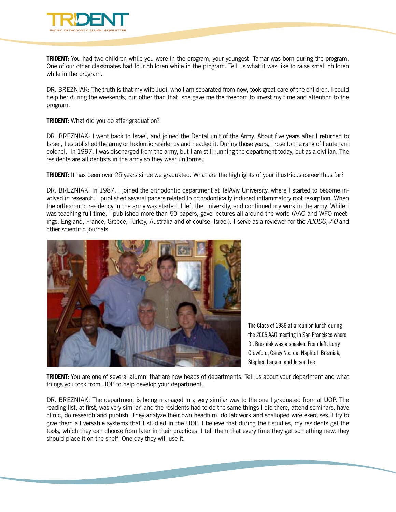![](_page_10_Picture_0.jpeg)

**TRIDENT:** You had two children while you were in the program, your youngest, Tamar was born during the program. One of our other classmates had four children while in the program. Tell us what it was like to raise small children while in the program.

DR. BREZNIAK: The truth is that my wife Judi, who I am separated from now, took great care of the children. I could help her during the weekends, but other than that, she gave me the freedom to invest my time and attention to the program.

**TRIDENT:** What did you do after graduation?

DR. BREZNIAK: I went back to Israel, and joined the Dental unit of the Army. About five years after I returned to Israel, I established the army orthodontic residency and headed it. During those years, I rose to the rank of lieutenant colonel. In 1997, I was discharged from the army, but I am still running the department today, but as a civilian. The residents are all dentists in the army so they wear uniforms.

**TRIDENT:** It has been over 25 years since we graduated. What are the highlights of your illustrious career thus far?

DR. BREZNIAK: In 1987, I joined the orthodontic department at TelAviv University, where I started to become involved in research. I published several papers related to orthodontically induced inflammatory root resorption. When the orthodontic residency in the army was started, I left the university, and continued my work in the army. While I was teaching full time, I published more than 50 papers, gave lectures all around the world (AAO and WFO meetings, England, France, Greece, Turkey, Australia and of course, Israel). I serve as a reviewer for the *AJODO, AO* and other scientific journals.

![](_page_10_Picture_7.jpeg)

The Class of 1986 at a reunion lunch during the 2005 AAO meeting in San Francisco where Dr. Brezniak was a speaker. From left: Larry Crawford, Carey Noorda, Naphtali Brezniak, Stephen Larson, and Jetson Lee

**TRIDENT:** You are one of several alumni that are now heads of departments. Tell us about your department and what things you took from UOP to help develop your department.

DR. BREZNIAK: The department is being managed in a very similar way to the one I graduated from at UOP. The reading list, at first, was very similar, and the residents had to do the same things I did there, attend seminars, have clinic, do research and publish. They analyze their own headfilm, do lab work and scalloped wire exercises. I try to give them all versatile systems that I studied in the UOP. I believe that during their studies, my residents get the tools, which they can choose from later in their practices. I tell them that every time they get something new, they should place it on the shelf. One day they will use it.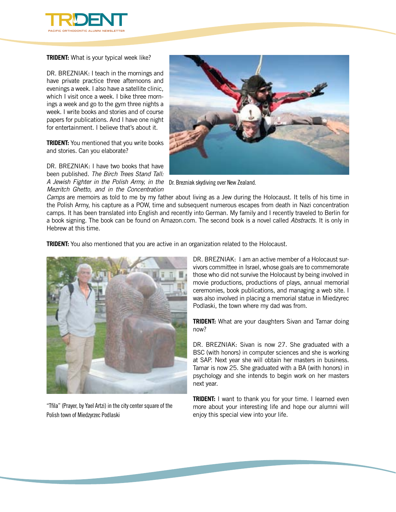![](_page_11_Picture_0.jpeg)

**TRIDENT:** What is your typical week like?

DR. BREZNIAK: I teach in the mornings and have private practice three afternoons and evenings a week. I also have a satellite clinic, which I visit once a week. I bike three mornings a week and go to the gym three nights a week. I write books and stories and of course papers for publications. And I have one night for entertainment. I believe that's about it.

**TRIDENT:** You mentioned that you write books and stories. Can you elaborate?

DR. BREZNIAK: I have two books that have been published. *The Birch Trees Stand Tall: A Jewish Fighter in the Polish Army, in the*  Dr. Brezniak skydiving over New Zealand.

*Mezritch Ghetto, and in the Concentration* 

![](_page_11_Picture_5.jpeg)

*Camps* are memoirs as told to me by my father about living as a Jew during the Holocaust. It tells of his time in the Polish Army, his capture as a POW, time and subsequent numerous escapes from death in Nazi concentration camps. It has been translated into English and recently into German. My family and I recently traveled to Berlin for a book signing. The book can be found on Amazon.com. The second book is a novel called *Abstracts*. It is only in Hebrew at this time.

**TRIDENT:** You also mentioned that you are active in an organization related to the Holocaust.

![](_page_11_Picture_9.jpeg)

"Tfila" (Prayer, by Yael Artzi) in the city center square of the Polish town of Miedzyrzec Podlaski

DR. BREZNIAK: I am an active member of a Holocaust survivors committee in Israel, whose goals are to commemorate those who did not survive the Holocaust by being involved in movie productions, productions of plays, annual memorial ceremonies, book publications, and managing a web site. I was also involved in placing a memorial statue in Miedzyrec Podlaski, the town where my dad was from.

**TRIDENT:** What are your daughters Sivan and Tamar doing now?

DR. BREZNIAK: Sivan is now 27. She graduated with a BSC (with honors) in computer sciences and she is working at SAP. Next year she will obtain her masters in business. Tamar is now 25. She graduated with a BA (with honors) in psychology and she intends to begin work on her masters next year.

**TRIDENT:** I want to thank you for your time. I learned even more about your interesting life and hope our alumni will enjoy this special view into your life.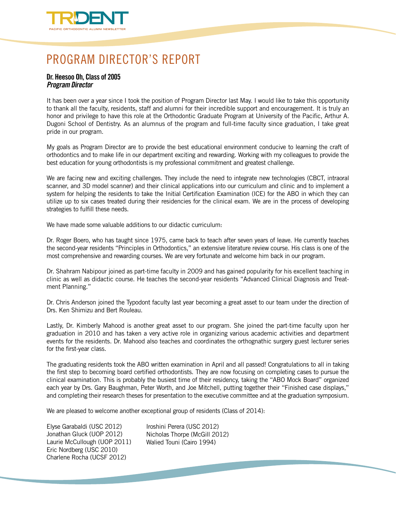![](_page_12_Picture_0.jpeg)

# PROGRAM DIRECTOR'S REPORT

### **Dr. Heesoo Oh, Class of 2005** *Program Director*

It has been over a year since I took the position of Program Director last May. I would like to take this opportunity to thank all the faculty, residents, staff and alumni for their incredible support and encouragement. It is truly an honor and privilege to have this role at the Orthodontic Graduate Program at University of the Pacific, Arthur A. Dugoni School of Dentistry. As an alumnus of the program and full-time faculty since graduation, I take great pride in our program.

My goals as Program Director are to provide the best educational environment conducive to learning the craft of orthodontics and to make life in our department exciting and rewarding. Working with my colleagues to provide the best education for young orthodontists is my professional commitment and greatest challenge.

We are facing new and exciting challenges. They include the need to integrate new technologies (CBCT, intraoral scanner, and 3D model scanner) and their clinical applications into our curriculum and clinic and to implement a system for helping the residents to take the Initial Certification Examination (ICE) for the ABO in which they can utilize up to six cases treated during their residencies for the clinical exam. We are in the process of developing strategies to fulfill these needs.

We have made some valuable additions to our didactic curriculum:

Dr. Roger Boero, who has taught since 1975, came back to teach after seven years of leave. He currently teaches the second-year residents "Principles in Orthodontics," an extensive literature review course. His class is one of the most comprehensive and rewarding courses. We are very fortunate and welcome him back in our program.

Dr. Shahram Nabipour joined as part-time faculty in 2009 and has gained popularity for his excellent teaching in clinic as well as didactic course. He teaches the second-year residents "Advanced Clinical Diagnosis and Treatment Planning."

Dr. Chris Anderson joined the Typodont faculty last year becoming a great asset to our team under the direction of Drs. Ken Shimizu and Bert Rouleau.

Lastly, Dr. Kimberly Mahood is another great asset to our program. She joined the part-time faculty upon her graduation in 2010 and has taken a very active role in organizing various academic activities and department events for the residents. Dr. Mahood also teaches and coordinates the orthognathic surgery guest lecturer series for the first-year class.

The graduating residents took the ABO written examination in April and all passed! Congratulations to all in taking the first step to becoming board certified orthodontists. They are now focusing on completing cases to pursue the clinical examination. This is probably the busiest time of their residency, taking the "ABO Mock Board" organized each year by Drs. Gary Baughman, Peter Worth, and Joe Mitchell, putting together their "Finished case displays," and completing their research theses for presentation to the executive committee and at the graduation symposium.

We are pleased to welcome another exceptional group of residents (Class of 2014):

Elyse Garabaldi (USC 2012) Jonathan Gluck (UOP 2012) Laurie McCullough (UOP 2011) Eric Nordberg (USC 2010) Charlene Rocha (UCSF 2012)

Iroshini Perera (USC 2012) Nicholas Thorpe (McGill 2012) Walied Touni (Cairo 1994)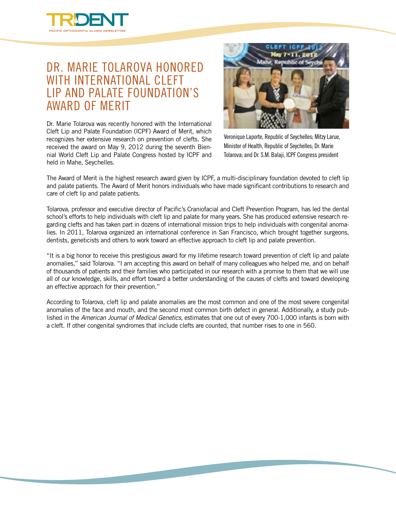![](_page_13_Picture_0.jpeg)

### Dr. Marie Tolarova honored WITH INTERNATIONAL CLEFT Lip and Palate Foundation's Award of Merit

Dr. Marie Tolarova was recently honored with the International Cleft Lip and Palate Foundation (ICPF) Award of Merit, which recognizes her extensive research on prevention of clefts. She received the award on May 9, 2012 during the seventh Biennial World Cleft Lip and Palate Congress hosted by ICPF and held in Mahe, Seychelles.

![](_page_13_Picture_3.jpeg)

Veronique Laporte, Republic of Seychelles; Mitzy Larue, Minister of Health, Republic of Seychelles; Dr. Marie Tolarova; and Dr. S.M. Balaji, ICPF Congress president

The Award of Merit is the highest research award given by ICPF, a multi-disciplinary foundation devoted to cleft lip and palate patients. The Award of Merit honors individuals who have made significant contributions to research and care of cleft lip and palate patients.

Tolarova, professor and executive director of Pacific's Craniofacial and Cleft Prevention Program, has led the dental school's efforts to help individuals with cleft lip and palate for many years. She has produced extensive research regarding clefts and has taken part in dozens of international mission trips to help individuals with congenital anomalies. In 2011, Tolarova organized an international conference in San Francisco, which brought together surgeons, dentists, geneticists and others to work toward an effective approach to cleft lip and palate prevention.

"It is a big honor to receive this prestigious award for my lifetime research toward prevention of cleft lip and palate anomalies," said Tolarova. "I am accepting this award on behalf of many colleagues who helped me, and on behalf of thousands of patients and their families who participated in our research with a promise to them that we will use all of our knowledge, skills, and effort toward a better understanding of the causes of clefts and toward developing an effective approach for their prevention."

According to Tolarova, cleft lip and palate anomalies are the most common and one of the most severe congenital anomalies of the face and mouth, and the second most common birth defect in general. Additionally, a study published in the *American Journal of Medical Genetics*, estimates that one out of every 700-1,000 infants is born with a cleft. If other congenital syndromes that include clefts are counted, that number rises to one in 560.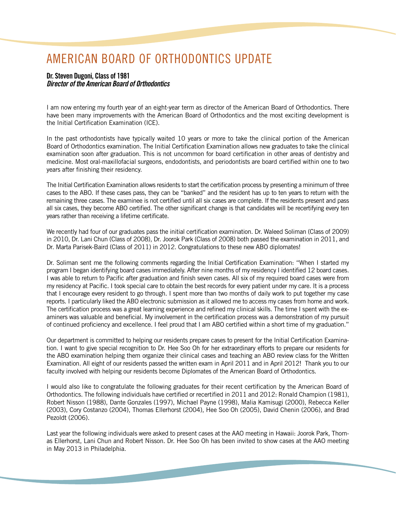## AMERICAN BOARD OF ORTHODONTICS UPDATE

### **Dr. Steven Dugoni, Class of 1981** *Director of the American Board of Orthodontics*

I am now entering my fourth year of an eight-year term as director of the American Board of Orthodontics. There have been many improvements with the American Board of Orthodontics and the most exciting development is the Initial Certification Examination (ICE).

In the past orthodontists have typically waited 10 years or more to take the clinical portion of the American Board of Orthodontics examination. The Initial Certification Examination allows new graduates to take the clinical examination soon after graduation. This is not uncommon for board certification in other areas of dentistry and medicine. Most oral-maxillofacial surgeons, endodontists, and periodontists are board certified within one to two years after finishing their residency.

The Initial Certification Examination allows residents to start the certification process by presenting a minimum of three cases to the ABO. If these cases pass, they can be "banked" and the resident has up to ten years to return with the remaining three cases. The examinee is not certified until all six cases are complete. If the residents present and pass all six cases, they become ABO certified. The other significant change is that candidates will be recertifying every ten years rather than receiving a lifetime certificate.

We recently had four of our graduates pass the initial certification examination. Dr. Waleed Soliman (Class of 2009) in 2010, Dr. Lani Chun (Class of 2008), Dr. Joorok Park (Class of 2008) both passed the examination in 2011, and Dr. Marta Parisek-Baird (Class of 2011) in 2012. Congratulations to these new ABO diplomates!

Dr. Soliman sent me the following comments regarding the Initial Certification Examination: "When I started my program I began identifying board cases immediately. After nine months of my residency I identified 12 board cases. I was able to return to Pacific after graduation and finish seven cases. All six of my required board cases were from my residency at Pacific. I took special care to obtain the best records for every patient under my care. It is a process that I encourage every resident to go through. I spent more than two months of daily work to put together my case reports. I particularly liked the ABO electronic submission as it allowed me to access my cases from home and work. The certification process was a great learning experience and refined my clinical skills. The time I spent with the examiners was valuable and beneficial. My involvement in the certification process was a demonstration of my pursuit of continued proficiency and excellence. I feel proud that I am ABO certified within a short time of my graduation."

Our department is committed to helping our residents prepare cases to present for the Initial Certification Examination. I want to give special recognition to Dr. Hee Soo Oh for her extraordinary efforts to prepare our residents for the ABO examination helping them organize their clinical cases and teaching an ABO review class for the Written Examination. All eight of our residents passed the written exam in April 2011 and in April 2012! Thank you to our faculty involved with helping our residents become Diplomates of the American Board of Orthodontics.

I would also like to congratulate the following graduates for their recent certification by the American Board of Orthodontics. The following individuals have certified or recertified in 2011 and 2012: Ronald Champion (1981), Robert Nisson (1988), Dante Gonzales (1997), Michael Payne (1998), Malia Kamisugi (2000), Rebecca Keller (2003), Cory Costanzo (2004), Thomas Ellerhorst (2004), Hee Soo Oh (2005), David Chenin (2006), and Brad Pezoldt (2006).

Last year the following individuals were asked to present cases at the AAO meeting in Hawaii: Joorok Park, Thomas Ellerhorst, Lani Chun and Robert Nisson. Dr. Hee Soo Oh has been invited to show cases at the AAO meeting in May 2013 in Philadelphia.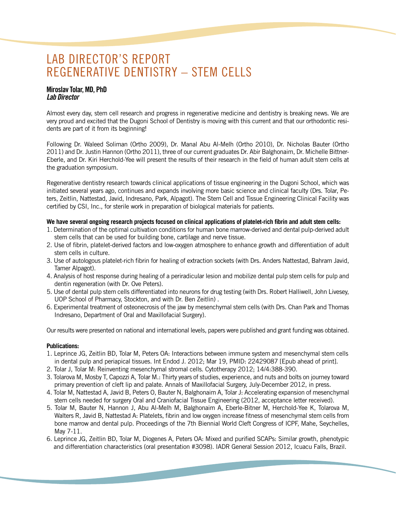## LAB DIRECTOR'S REPORT Regenerative Dentistry – Stem Cells

### **Miroslav Tolar, MD, PhD** *Lab Director*

Almost every day, stem cell research and progress in regenerative medicine and dentistry is breaking news. We are very proud and excited that the Dugoni School of Dentistry is moving with this current and that our orthodontic residents are part of it from its beginning!

Following Dr. Waleed Soliman (Ortho 2009), Dr. Manal Abu Al-Melh (Ortho 2010), Dr. Nicholas Bauter (Ortho 2011) and Dr. Justin Hannon (Ortho 2011), three of our current graduates Dr. Abir Balghonaim, Dr. Michelle Bittner-Eberle, and Dr. Kiri Herchold-Yee will present the results of their research in the field of human adult stem cells at the graduation symposium.

Regenerative dentistry research towards clinical applications of tissue engineering in the Dugoni School, which was initiated several years ago, continues and expands involving more basic science and clinical faculty (Drs. Tolar, Peters, Zeitlin, Nattestad, Javid, Indresano, Park, Alpagot). The Stem Cell and Tissue Engineering Clinical Facility was certified by CSI, Inc., for sterile work in preparation of biological materials for patients.

### **We have several ongoing research projects focused on clinical applications of platelet-rich fibrin and adult stem cells:**

- 1. Determination of the optimal cultivation conditions for human bone marrow-derived and dental pulp-derived adult stem cells that can be used for building bone, cartilage and nerve tissue.
- 2. Use of fibrin, platelet-derived factors and low-oxygen atmosphere to enhance growth and differentiation of adult stem cells in culture.
- 3. Use of autologous platelet-rich fibrin for healing of extraction sockets (with Drs. Anders Nattestad, Bahram Javid, Tamer Alpagot).
- 4. Analysis of host response during healing of a periradicular lesion and mobilize dental pulp stem cells for pulp and dentin regeneration (with Dr. Ove Peters).
- 5. Use of dental pulp stem cells differentiated into neurons for drug testing (with Drs. Robert Halliwell, John Livesey, UOP School of Pharmacy, Stockton, and with Dr. Ben Zeitlin) .
- 6. Experimental treatment of osteonecrosis of the jaw by mesenchymal stem cells (with Drs. Chan Park and Thomas Indresano, Department of Oral and Maxillofacial Surgery).

Our results were presented on national and international levels, papers were published and grant funding was obtained.

### **Publications:**

- 1. Leprince JG, Zeitlin BD, Tolar M, Peters OA: Interactions between immune system and mesenchymal stem cells in dental pulp and periapical tissues. Int Endod J. 2012; Mar 19, PMID: 22429087 [Epub ahead of print].
- 2. Tolar J, Tolar M: Reinventing mesenchymal stromal cells. Cytotherapy 2012; 14/4:388-390.
- 3. Tolarova M, Mosby T, Capozzi A, Tolar M.: Thirty years of studies, experience, and nuts and bolts on journey toward primary prevention of cleft lip and palate. Annals of Maxillofacial Surgery, July-December 2012, in press.
- 4. Tolar M, Nattestad A, Javid B, Peters O, Bauter N, Balghonaim A, Tolar J: Accelerating expansion of mesenchymal stem cells needed for surgery Oral and Craniofacial Tissue Engineering (2012, acceptance letter received).
- 5. Tolar M, Bauter N, Hannon J, Abu Al-Melh M, Balghonaim A, Eberle-Bitner M, Herchold-Yee K, Tolarova M, Walters R, Javid B, Nattestad A: Platelets, fibrin and low oxygen increase fitness of mesenchymal stem cells from bone marrow and dental pulp. Proceedings of the 7th Biennial World Cleft Congress of ICPF, Mahe, Seychelles, May 7-11.
- 6. Leprince JG, Zeitlin BD, Tolar M, Diogenes A, Peters OA: Mixed and purified SCAPs: Similar growth, phenotypic and differentiation characteristics (oral presentation #3098). IADR General Session 2012, Icuacu Falls, Brazil.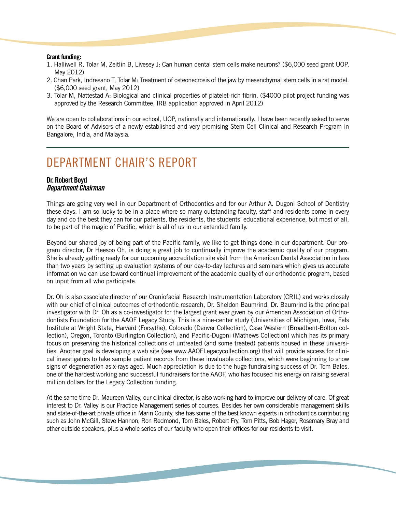#### **Grant funding:**

- 1. Halliwell R, Tolar M, Zeitlin B, Livesey J: Can human dental stem cells make neurons? (\$6,000 seed grant UOP, May 2012)
- 2. Chan Park, Indresano T, Tolar M: Treatment of osteonecrosis of the jaw by mesenchymal stem cells in a rat model. (\$6,000 seed grant, May 2012)
- 3. Tolar M, Nattestad A: Biological and clinical properties of platelet-rich fibrin. (\$4000 pilot project funding was approved by the Research Committee, IRB application approved in April 2012)

We are open to collaborations in our school, UOP, nationally and internationally. I have been recently asked to serve on the Board of Advisors of a newly established and very promising Stem Cell Clinical and Research Program in Bangalore, India, and Malaysia.

### DEPARTMENT CHAIR'S REPORT

#### **Dr. Robert Boyd** *Department Chairman*

Things are going very well in our Department of Orthodontics and for our Arthur A. Dugoni School of Dentistry these days. I am so lucky to be in a place where so many outstanding faculty, staff and residents come in every day and do the best they can for our patients, the residents, the students' educational experience, but most of all, to be part of the magic of Pacific, which is all of us in our extended family.

Beyond our shared joy of being part of the Pacific family, we like to get things done in our department. Our program director, Dr Heesoo Oh, is doing a great job to continually improve the academic quality of our program. She is already getting ready for our upcoming accreditation site visit from the American Dental Association in less than two years by setting up evaluation systems of our day-to-day lectures and seminars which gives us accurate information we can use toward continual improvement of the academic quality of our orthodontic program, based on input from all who participate.

Dr. Oh is also associate director of our Craniofacial Research Instrumentation Laboratory (CRIL) and works closely with our chief of clinical outcomes of orthodontic research, Dr. Sheldon Baumrind. Dr. Baumrind is the principal investigator with Dr. Oh as a co-investigator for the largest grant ever given by our American Association of Orthodontists Foundation for the AAOF Legacy Study. This is a nine-center study (Universities of Michigan, Iowa, Fels Institute at Wright State, Harvard (Forsythe), Colorado (Denver Collection), Case Western (Broadbent-Bolton collection), Oregon, Toronto (Burlington Collection), and Pacific-Dugoni (Mathews Collection) which has its primary focus on preserving the historical collections of untreated (and some treated) patients housed in these universities. Another goal is developing a web site (see www.AAOFLegacycollection.org) that will provide access for clinical investigators to take sample patient records from these invaluable collections, which were beginning to show signs of degeneration as x-rays aged. Much appreciation is due to the huge fundraising success of Dr. Tom Bales, one of the hardest working and successful fundraisers for the AAOF, who has focused his energy on raising several million dollars for the Legacy Collection funding.

At the same time Dr. Maureen Valley, our clinical director, is also working hard to improve our delivery of care. Of great interest to Dr. Valley is our Practice Management series of courses. Besides her own considerable management skills and state-of-the-art private office in Marin County, she has some of the best known experts in orthodontics contributing such as John McGill, Steve Hannon, Ron Redmond, Tom Bales, Robert Fry, Tom Pitts, Bob Hager, Rosemary Bray and other outside speakers, plus a whole series of our faculty who open their offices for our residents to visit.